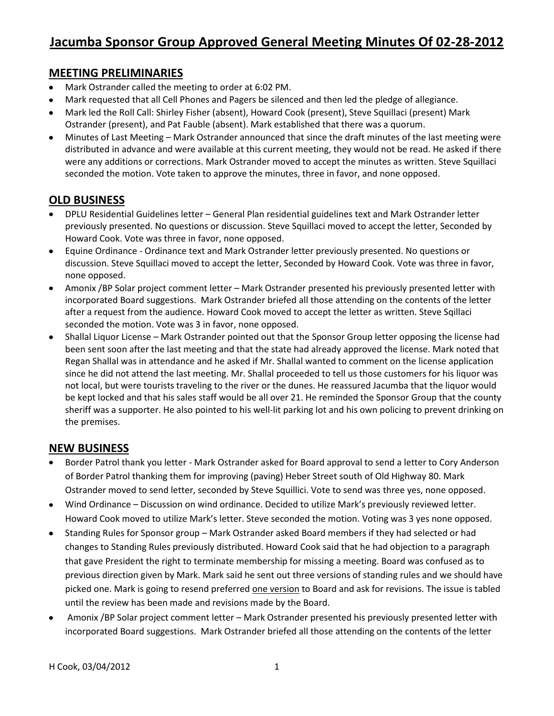### **MEETING PRELIMINARIES**

- Mark Ostrander called the meeting to order at 6:02 PM.
- Mark requested that all Cell Phones and Pagers be silenced and then led the pledge of allegiance.
- Mark led the Roll Call: Shirley Fisher (absent), Howard Cook (present), Steve Squillaci (present) Mark Ostrander (present), and Pat Fauble (absent). Mark established that there was a quorum.
- Minutes of Last Meeting Mark Ostrander announced that since the draft minutes of the last meeting were  $\bullet$ distributed in advance and were available at this current meeting, they would not be read. He asked if there were any additions or corrections. Mark Ostrander moved to accept the minutes as written. Steve Squillaci seconded the motion. Vote taken to approve the minutes, three in favor, and none opposed.

## **OLD BUSINESS**

- DPLU Residential Guidelines letter General Plan residential guidelines text and Mark Ostrander letter previously presented. No questions or discussion. Steve Squillaci moved to accept the letter, Seconded by Howard Cook. Vote was three in favor, none opposed.
- Equine Ordinance Ordinance text and Mark Ostrander letter previously presented. No questions or  $\bullet$ discussion. Steve Squillaci moved to accept the letter, Seconded by Howard Cook. Vote was three in favor, none opposed.
- $\bullet$ Amonix /BP Solar project comment letter – Mark Ostrander presented his previously presented letter with incorporated Board suggestions. Mark Ostrander briefed all those attending on the contents of the letter after a request from the audience. Howard Cook moved to accept the letter as written. Steve Sqillaci seconded the motion. Vote was 3 in favor, none opposed.
- Shallal Liquor License Mark Ostrander pointed out that the Sponsor Group letter opposing the license had  $\bullet$ been sent soon after the last meeting and that the state had already approved the license. Mark noted that Regan Shallal was in attendance and he asked if Mr. Shallal wanted to comment on the license application since he did not attend the last meeting. Mr. Shallal proceeded to tell us those customers for his liquor was not local, but were tourists traveling to the river or the dunes. He reassured Jacumba that the liquor would be kept locked and that his sales staff would be all over 21. He reminded the Sponsor Group that the county sheriff was a supporter. He also pointed to his well-lit parking lot and his own policing to prevent drinking on the premises.

## **NEW BUSINESS**

- Border Patrol thank you letter Mark Ostrander asked for Board approval to send a letter to Cory Anderson of Border Patrol thanking them for improving (paving) Heber Street south of Old Highway 80. Mark Ostrander moved to send letter, seconded by Steve Squillici. Vote to send was three yes, none opposed.
- Wind Ordinance Discussion on wind ordinance. Decided to utilize Mark's previously reviewed letter.  $\bullet$ Howard Cook moved to utilize Mark's letter. Steve seconded the motion. Voting was 3 yes none opposed.
- Standing Rules for Sponsor group Mark Ostrander asked Board members if they had selected or had  $\bullet$ changes to Standing Rules previously distributed. Howard Cook said that he had objection to a paragraph that gave President the right to terminate membership for missing a meeting. Board was confused as to previous direction given by Mark. Mark said he sent out three versions of standing rules and we should have picked one. Mark is going to resend preferred one version to Board and ask for revisions. The issue is tabled until the review has been made and revisions made by the Board.
- Amonix /BP Solar project comment letter Mark Ostrander presented his previously presented letter with  $\bullet$ incorporated Board suggestions. Mark Ostrander briefed all those attending on the contents of the letter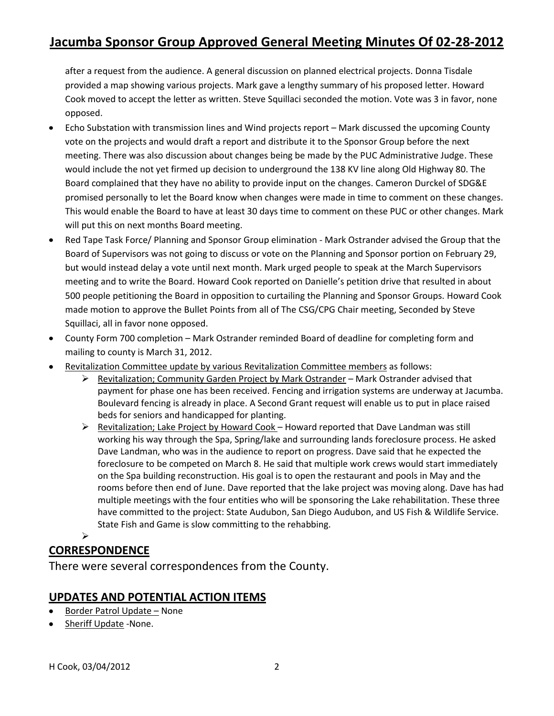# **Jacumba Sponsor Group Approved General Meeting Minutes Of 02-28-2012**

after a request from the audience. A general discussion on planned electrical projects. Donna Tisdale provided a map showing various projects. Mark gave a lengthy summary of his proposed letter. Howard Cook moved to accept the letter as written. Steve Squillaci seconded the motion. Vote was 3 in favor, none opposed.

- Echo Substation with transmission lines and Wind projects report Mark discussed the upcoming County  $\bullet$ vote on the projects and would draft a report and distribute it to the Sponsor Group before the next meeting. There was also discussion about changes being be made by the PUC Administrative Judge. These would include the not yet firmed up decision to underground the 138 KV line along Old Highway 80. The Board complained that they have no ability to provide input on the changes. Cameron Durckel of SDG&E promised personally to let the Board know when changes were made in time to comment on these changes. This would enable the Board to have at least 30 days time to comment on these PUC or other changes. Mark will put this on next months Board meeting.
- Red Tape Task Force/ Planning and Sponsor Group elimination Mark Ostrander advised the Group that the Board of Supervisors was not going to discuss or vote on the Planning and Sponsor portion on February 29, but would instead delay a vote until next month. Mark urged people to speak at the March Supervisors meeting and to write the Board. Howard Cook reported on Danielle's petition drive that resulted in about 500 people petitioning the Board in opposition to curtailing the Planning and Sponsor Groups. Howard Cook made motion to approve the Bullet Points from all of The CSG/CPG Chair meeting, Seconded by Steve Squillaci, all in favor none opposed.
- County Form 700 completion Mark Ostrander reminded Board of deadline for completing form and mailing to county is March 31, 2012.
- Revitalization Committee update by various Revitalization Committee members as follows:
	- $\triangleright$  Revitalization; Community Garden Project by Mark Ostrander Mark Ostrander advised that payment for phase one has been received. Fencing and irrigation systems are underway at Jacumba. Boulevard fencing is already in place. A Second Grant request will enable us to put in place raised beds for seniors and handicapped for planting.
	- Revitalization; Lake Project by Howard Cook Howard reported that Dave Landman was still working his way through the Spa, Spring/lake and surrounding lands foreclosure process. He asked Dave Landman, who was in the audience to report on progress. Dave said that he expected the foreclosure to be competed on March 8. He said that multiple work crews would start immediately on the Spa building reconstruction. His goal is to open the restaurant and pools in May and the rooms before then end of June. Dave reported that the lake project was moving along. Dave has had multiple meetings with the four entities who will be sponsoring the Lake rehabilitation. These three have committed to the project: State Audubon, San Diego Audubon, and US Fish & Wildlife Service. State Fish and Game is slow committing to the rehabbing.

## **CORRESPONDENCE**

 $\blacktriangleright$ 

There were several correspondences from the County.

## **UPDATES AND POTENTIAL ACTION ITEMS**

- Border Patrol Update None
- Sheriff Update -None.